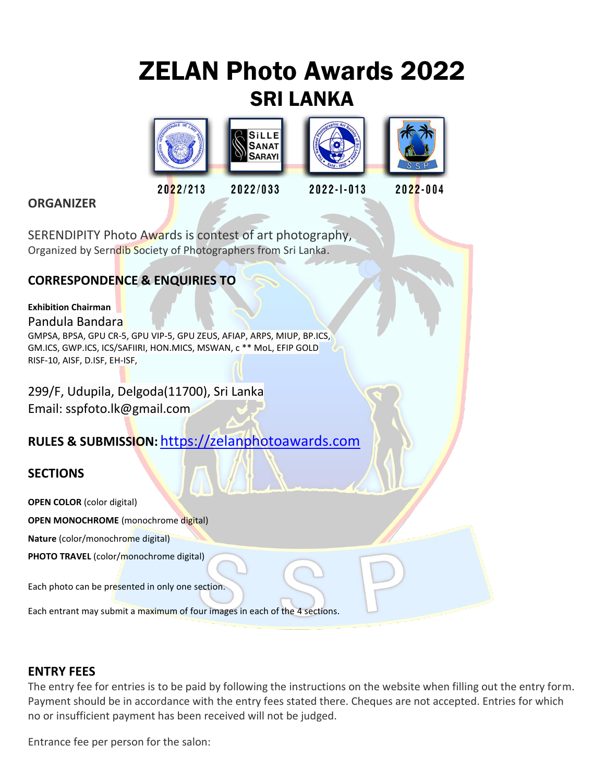# ZELAN Photo Awards 2022 SRI LANKA



## **ORGANIZER**

SERENDIPITY Photo Awards is contest of art photography, Organized by Serndib Society of Photographers from Sri Lanka.

## **CORRESPONDENCE & ENQUIRIES TO**

#### **Exhibition Chairman**

#### Pandula Bandara

GMPSA, BPSA, GPU CR-5, GPU VIP-5, GPU ZEUS, AFIAP, ARPS, MIUP, BP.ICS, GM.ICS, GWP.ICS, ICS/SAFIIRI, HON.MICS, MSWAN, c \*\* MoL, EFIP GOLD RISF-10, AISF, D.ISF, EH-ISF,

299/F, Udupila, Delgoda(11700), Sri Lanka Email: sspfoto.lk@gmail.com

## **RULES & SUBMISSION:** [https://zelanphotoawards.com](https://zelanphotoawards.com/)

## **SECTIONS**

**OPEN COLOR** (color digital) **OPEN MONOCHROME** (monochrome digital) **Nature** (color/monochrome digital) **PHOTO TRAVEL** (color/monochrome digital) Each photo can be presented in only one section.

Each entrant may submit a maximum of four images in each of the 4 sections.

#### **ENTRY FEES**

The entry fee for entries is to be paid by following the instructions on the website when filling out the entry form. Payment should be in accordance with the entry fees stated there. Cheques are not accepted. Entries for which no or insufficient payment has been received will not be judged.

Entrance fee per person for the salon: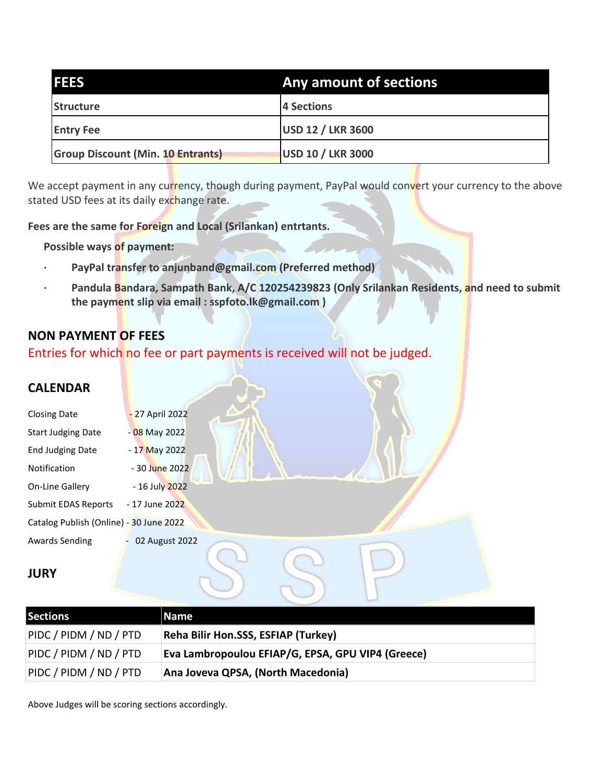| <b>IFEES</b>                             | Any amount of sections   |
|------------------------------------------|--------------------------|
| Structure                                | 4 Sections               |
| <b>Entry Fee</b>                         | <b>USD 12 / LKR 3600</b> |
| <b>Group Discount (Min. 10 Entrants)</b> | <b>USD 10 / LKR 3000</b> |

We accept payment in any currency, though during payment, PayPal would convert your currency to the above stated USD fees at its daily exchange rate.

**Fees are the same for Foreign and Local (Srilankan) entrtants.**

**Possible ways of payment:**

- **· PayPal transfer to anjunband@gmail.com (Preferred method)**
- **· Pandula Bandara, Sampath Bank, A/C 120254239823 (Only Srilankan Residents, and need to submit the payment slip via email : sspfoto.lk@gmail.com )**

## **NON PAYMENT OF FEES**

Entries for which no fee or part payments is received will not be judged.

## **CALENDAR**

| <b>Closing Date</b>                     | - 27 April 2022 |
|-----------------------------------------|-----------------|
| <b>Start Judging Date</b>               | - 08 May 2022   |
| <b>End Judging Date</b>                 | - 17 May 2022   |
| Notification                            | - 30 June 2022  |
| On-Line Gallery                         | - 16 July 2022  |
| Submit EDAS Reports                     | - 17 June 2022  |
| Catalog Publish (Online) - 30 June 2022 |                 |
| Awards Sending                          | 02 August 2022  |

#### **JURY**

| <b>Sections</b>        | Name                                              |
|------------------------|---------------------------------------------------|
| PIDC / PIDM / ND / PTD | Reha Bilir Hon.SSS, ESFIAP (Turkey)               |
| PIDC / PIDM / ND / PTD | Eva Lambropoulou EFIAP/G, EPSA, GPU VIP4 (Greece) |
| PIDC / PIDM / ND / PTD | Ana Joveva QPSA, (North Macedonia)                |

Above Judges will be scoring sections accordingly.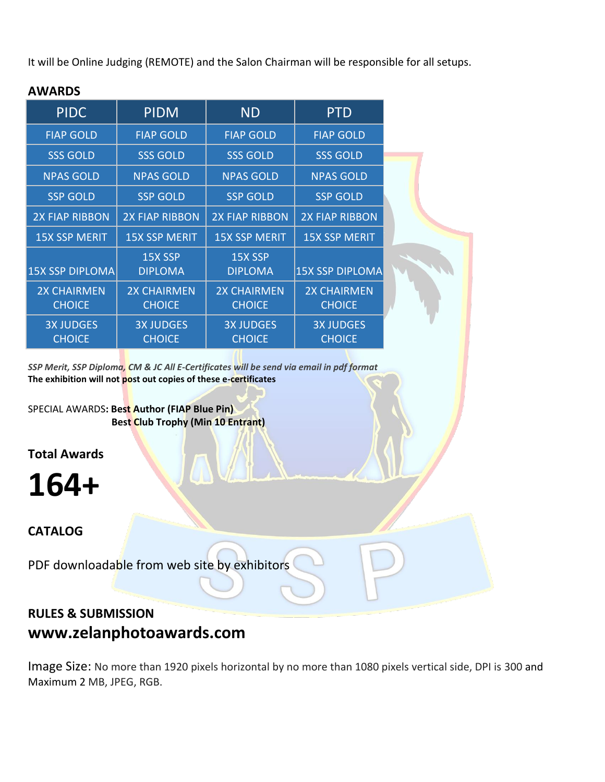It will be Online Judging (REMOTE) and the Salon Chairman will be responsible for all setups.

| <b>PIDC</b>                         | <b>PIDM</b>                         | <b>ND</b>                           | <b>PTD</b>                          |
|-------------------------------------|-------------------------------------|-------------------------------------|-------------------------------------|
| <b>FIAP GOLD</b>                    | <b>FIAP GOLD</b>                    | <b>FIAP GOLD</b>                    | <b>FIAP GOLD</b>                    |
| <b>SSS GOLD</b>                     | <b>SSS GOLD</b>                     | <b>SSS GOLD</b>                     | <b>SSS GOLD</b>                     |
| <b>NPAS GOLD</b>                    | <b>NPAS GOLD</b>                    | <b>NPAS GOLD</b>                    | <b>NPAS GOLD</b>                    |
| <b>SSP GOLD</b>                     | <b>SSP GOLD</b>                     | <b>SSP GOLD</b>                     | <b>SSP GOLD</b>                     |
| <b>2X FIAP RIBBON</b>               | <b>2X FIAP RIBBON</b>               | <b>2X FIAP RIBBON</b>               | <b>2X FIAP RIBBON</b>               |
| <b>15X SSP MERIT</b>                | <b>15X SSP MERIT</b>                | <b>15X SSP MERIT</b>                | <b>15X SSP MERIT</b>                |
| <b>15X SSP DIPLOMA</b>              | 15X SSP<br><b>DIPLOMA</b>           | 15X SSP<br><b>DIPLOMA</b>           | <b>15X SSP DIPLOMA</b>              |
| <b>2X CHAIRMEN</b><br><b>CHOICE</b> | <b>2X CHAIRMEN</b><br><b>CHOICE</b> | <b>2X CHAIRMEN</b><br><b>CHOICE</b> | <b>2X CHAIRMEN</b><br><b>CHOICE</b> |
| <b>3X JUDGES</b><br><b>CHOICE</b>   | <b>3X JUDGES</b><br><b>CHOICE</b>   | <b>3X JUDGES</b><br><b>CHOICE</b>   | <b>3X JUDGES</b><br><b>CHOICE</b>   |

## **AWARDS**

*SSP Merit, SSP Diploma, CM & JC All E-Certificates will be send via email in pdf format* **The exhibition will not post out copies of these e-certificates**

SPECIAL AWARDS**: Best Author (FIAP Blue Pin) Best Club Trophy (Min 10 Entrant)**

**Total Awards**

**164+**

## **CATALOG**

PDF downloadable from web site by exhibitors

## **RULES & SUBMISSION www.zelanphotoawards.com**

Image Size: No more than 1920 pixels horizontal by no more than 1080 pixels vertical side, DPI is 300 and Maximum 2 MB, JPEG, RGB.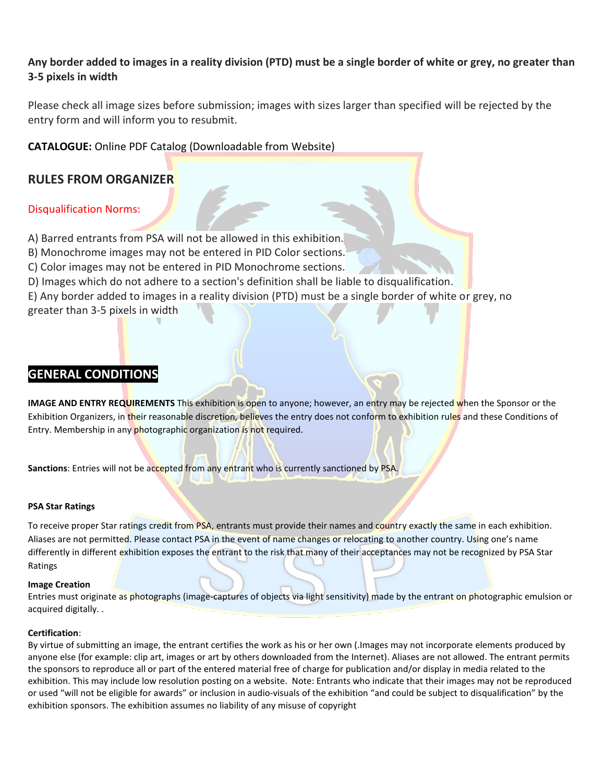#### **Any border added to images in a reality division (PTD) must be a single border of white or grey, no greater than 3-5 pixels in width**

Please check all image sizes before submission; images with sizes larger than specified will be rejected by the entry form and will inform you to resubmit.

#### **CATALOGUE:** Online PDF Catalog (Downloadable from Website)

## **RULES FROM ORGANIZER**

#### Disqualification Norms:

A) Barred entrants from PSA will not be allowed in this exhibition.

B) Monochrome images may not be entered in PID Color sections.

C) Color images may not be entered in PID Monochrome sections.

D) Images which do not adhere to a section's definition shall be liable to disqualification.

E) Any border added to images in a reality division (PTD) must be a single border of white or grey, no greater than 3-5 pixels in width

## **GENERAL CONDITIONS**

**IMAGE AND ENTRY REQUIREMENTS** This exhibition is open to anyone; however, an entry may be rejected when the Sponsor or the Exhibition Organizers, in their reasonable discretion, believes the entry does not conform to exhibition rules and these Conditions of Entry. Membership in any photographic organization is not required.

**Sanctions**: Entries will not be accepted from any entrant who is currently sanctioned by PSA.

#### **PSA Star Ratings**

To receive proper Star ratings credit from PSA, entrants must provide their names and country exactly the same in each exhibition. Aliases are not permitted. Please contact PSA in the event of name changes or relocating to another country. Using one's name differently in different exhibition exposes the entrant to the risk that many of their acceptances may not be recognized by PSA Star Ratings

#### **Image Creation**

Entries must originate as photographs (image-captures of objects via light sensitivity) made by the entrant on photographic emulsion or acquired digitally. .

#### **Certification**:

By virtue of submitting an image, the entrant certifies the work as his or her own (.Images may not incorporate elements produced by anyone else (for example: clip art, images or art by others downloaded from the Internet). Aliases are not allowed. The entrant permits the sponsors to reproduce all or part of the entered material free of charge for publication and/or display in media related to the exhibition. This may include low resolution posting on a website. Note: Entrants who indicate that their images may not be reproduced or used "will not be eligible for awards" or inclusion in audio-visuals of the exhibition "and could be subject to disqualification" by the exhibition sponsors. The exhibition assumes no liability of any misuse of copyright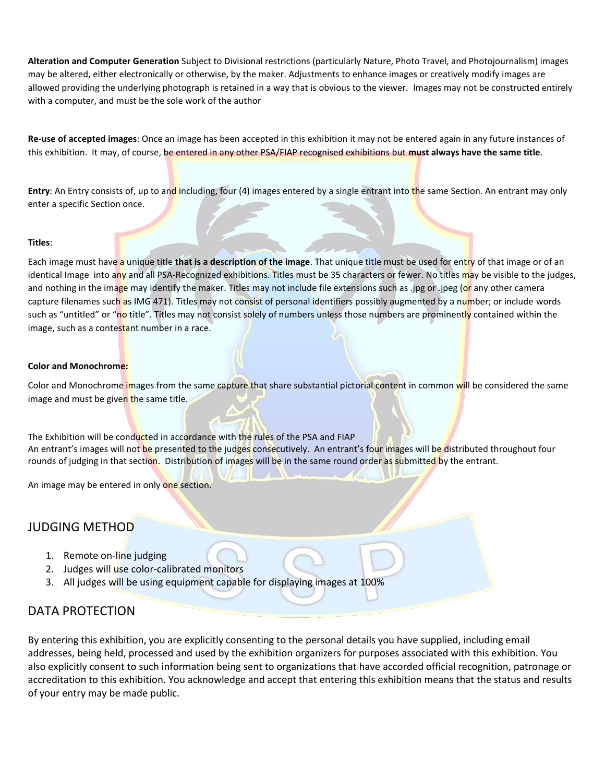**Alteration and Computer Generation** Subject to Divisional restrictions (particularly Nature, Photo Travel, and Photojournalism) images may be altered, either electronically or otherwise, by the maker. Adjustments to enhance images or creatively modify images are allowed providing the underlying photograph is retained in a way that is obvious to the viewer. Images may not be constructed entirely with a computer, and must be the sole work of the author

**Re-use of accepted images**: Once an image has been accepted in this exhibition it may not be entered again in any future instances of this exhibition. It may, of course, be entered in any other PSA/FIAP recognised exhibitions but **must always have the same title**.

**Entry**: An Entry consists of, up to and including, four (4) images entered by a single entrant into the same Section. An entrant may only enter a specific Section once.

#### **Titles**:

Each image must have a unique title that is a description of the image. That unique title must be used for entry of that image or of an identical Image into any and all PSA-Recognized exhibitions. Titles must be 35 characters or fewer. No titles may be visible to the judges, and nothing in the image may identify the maker. Titles may not include file extensions such as .jpg or .jpeg (or any other camera capture filenames such as IMG 471). Titles may not consist of personal identifiers possibly augmented by a number; or include words such as "untitled" or "no title". Titles may not consist solely of numbers unless those numbers are prominently contained within the image, such as a contestant number in a race.

#### **Color and Monochrome:**

Color and Monochrome images from the same capture that share substantial pictorial content in common will be considered the same image and must be given the same title.

The Exhibition will be conducted in accordance with the rules of the PSA and FIAP An entrant's images will not be presented to the judges consecutively. An entrant's four images will be distributed throughout four rounds of judging in that section. Distribution of images will be in the same round order as submitted by the entrant.

An image may be entered in only one section.

#### JUDGING METHOD

- 1. Remote on-line judging
- 2. Judges will use color-calibrated monitors
- 3. All judges will be using equipment capable for displaying images at 100%

#### DATA PROTECTION

By entering this exhibition, you are explicitly consenting to the personal details you have supplied, including email addresses, being held, processed and used by the exhibition organizers for purposes associated with this exhibition. You also explicitly consent to such information being sent to organizations that have accorded official recognition, patronage or accreditation to this exhibition. You acknowledge and accept that entering this exhibition means that the status and results of your entry may be made public.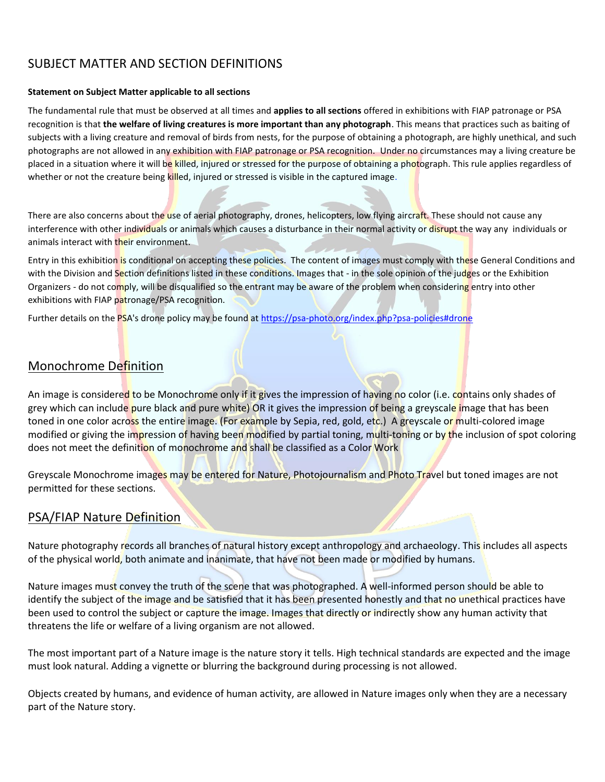## SUBJECT MATTER AND SECTION DEFINITIONS

#### **Statement on Subject Matter applicable to all sections**

The fundamental rule that must be observed at all times and **applies to all sections** offered in exhibitions with FIAP patronage or PSA recognition is that **the welfare of living creatures is more important than any photograph**. This means that practices such as baiting of subjects with a living creature and removal of birds from nests, for the purpose of obtaining a photograph, are highly unethical, and such photographs are not allowed in any exhibition with FIAP patronage or PSA recognition. Under no circumstances may a living creature be placed in a situation where it will be killed, injured or stressed for the purpose of obtaining a photograph. This rule applies regardless of whether or not the creature being killed, injured or stressed is visible in the captured image.

There are also concerns about the use of aerial photography, drones, helicopters, low flying aircraft. These should not cause any interference with other individuals or animals which causes a disturbance in their normal activity or disrupt the way any individuals or animals interact with their environment.

Entry in this exhibition is conditional on accepting these policies. The content of images must comply with these General Conditions and with the Division and Section definitions listed in these conditions. Images that - in the sole opinion of the judges or the Exhibition Organizers - do not comply, will be disqualified so the entrant may be aware of the problem when considering entry into other exhibitions with FIAP patronage/PSA recognition.

Further details on the PSA's drone policy may be found at [https://psa-photo.org/index.php?psa-policies#drone](https://psa-photo.org/index.php?psa-policies%23drone)

## Monochrome Definition

An image is considered to be Monochrome only if it gives the impression of having no color (i.e. contains only shades of grey which can include pure black and pure white) OR it gives the impression of being a greyscale image that has been toned in one color across the entire image. (For example by Sepia, red, gold, etc.) A greyscale or multi-colored image modified or giving the impression of having been modified by partial toning, multi-toning or by the inclusion of spot coloring does not meet the definition of monochrome and shall be classified as a Color Work

Greyscale Monochrome images may be entered for Nature, Photojournalism and Photo Travel but toned images are not permitted for these sections.

## PSA/FIAP Nature Definition

Nature photography records all branches of natural history except anthropology and archaeology. This includes all aspects of the physical world, both animate and inanimate, that have not been made or modified by humans.

Nature images must convey the truth of the scene that was photographed. A well-informed person should be able to identify the subject of the image and be satisfied that it has been presented honestly and that no unethical practices have been used to control the subject or capture the image. Images that directly or indirectly show any human activity that threatens the life or welfare of a living organism are not allowed.

The most important part of a Nature image is the nature story it tells. High technical standards are expected and the image must look natural. Adding a vignette or blurring the background during processing is not allowed.

Objects created by humans, and evidence of human activity, are allowed in Nature images only when they are a necessary part of the Nature story.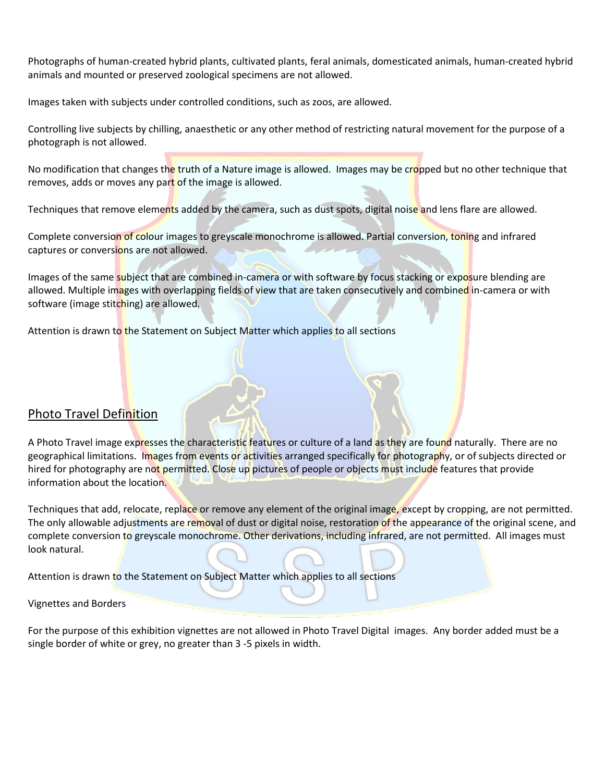Photographs of human-created hybrid plants, cultivated plants, feral animals, domesticated animals, human-created hybrid animals and mounted or preserved zoological specimens are not allowed.

Images taken with subjects under controlled conditions, such as zoos, are allowed.

Controlling live subjects by chilling, anaesthetic or any other method of restricting natural movement for the purpose of a photograph is not allowed.

No modification that changes the truth of a Nature image is allowed. Images may be cropped but no other technique that removes, adds or moves any part of the image is allowed.

Techniques that remove elements added by the camera, such as dust spots, digital noise and lens flare are allowed.

Complete conversion of colour images to greyscale monochrome is allowed. Partial conversion, toning and infrared captures or conversions are not allowed.

Images of the same subject that are combined in-camera or with software by focus stacking or exposure blending are allowed. Multiple images with overlapping fields of view that are taken consecutively and combined in-camera or with software (image stitching) are allowed.

Attention is drawn to the Statement on Subject Matter which applies to all sections

#### Photo Travel Definition

A Photo Travel image expresses the characteristic features or culture of a land as they are found naturally. There are no geographical limitations. Images from events or activities arranged specifically for photography, or of subjects directed or hired for photography are not permitted. Close up pictures of people or objects must include features that provide information about the location.

Techniques that add, relocate, replace or remove any element of the original image, except by cropping, are not permitted. The only allowable adjustments are removal of dust or digital noise, restoration of the appearance of the original scene, and complete conversion to greyscale monochrome. Other derivations, including infrared, are not permitted. All images must look natural.

Attention is drawn to the Statement on Subject Matter which applies to all sections

Vignettes and Borders

For the purpose of this exhibition vignettes are not allowed in Photo Travel Digital images. Any border added must be a single border of white or grey, no greater than 3 -5 pixels in width.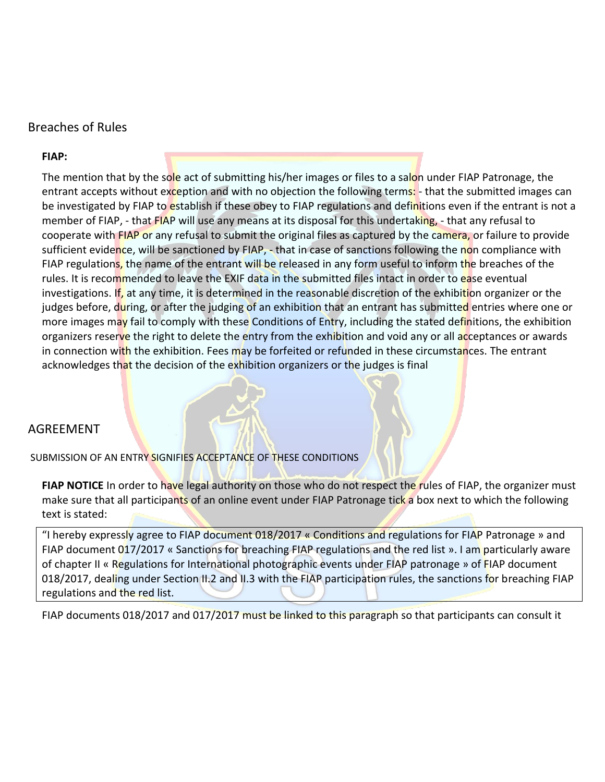#### Breaches of Rules

#### **FIAP:**

The mention that by the sole act of submitting his/her images or files to a salon under FIAP Patronage, the entrant accepts without exception and with no objection the following terms: - that the submitted images can be investigated by FIAP to establish if these obey to FIAP regulations and definitions even if the entrant is not a member of FIAP, - that FIAP will use any means at its disposal for this undertaking, - that any refusal to cooperate with FIAP or any refusal to submit the original files as captured by the camera, or failure to provide sufficient evidence, will be sanctioned by FIAP, - that in case of sanctions following the non compliance with FIAP regulations, the name of the entrant will be released in any form useful to inform the breaches of the rules. It is recommended to leave the EXIF data in the submitted files intact in order to ease eventual investigations. If, at any time, it is determined in the reasonable discretion of the exhibition organizer or the judges before, during, or after the judging of an exhibition that an entrant has submitted entries where one or more images may fail to comply with these Conditions of Entry, including the stated definitions, the exhibition organizers reserve the right to delete the entry from the exhibition and void any or all acceptances or awards in connection with the exhibition. Fees may be forfeited or refunded in these circumstances. The entrant acknowledges that the decision of the exhibition organizers or the judges is final

## AGREEMENT

SUBMISSION OF AN ENTRY SIGNIFIES ACCEPTANCE OF THESE CONDITIONS

**FIAP NOTICE** In order to have legal authority on those who do not respect the rules of FIAP, the organizer must make sure that all participants of an online event under FIAP Patronage tick a box next to which the following text is stated:

"I hereby expressly agree to FIAP document 018/2017 « Conditions and regulations for FIAP Patronage » and FIAP document 017/2017 « Sanctions for breaching FIAP regulations and the red list ». I am particularly aware of chapter II « Regulations for International photographic events under FIAP patronage » of FIAP document 018/2017, dealing under Section II.2 and II.3 with the FIAP participation rules, the sanctions for breaching FIAP regulations and the red list.

FIAP documents 018/2017 and 017/2017 must be linked to this paragraph so that participants can consult it